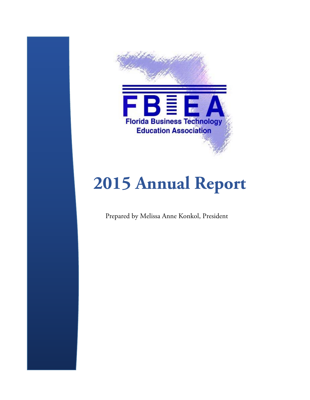

# **2015 Annual Report**

Prepared by Melissa Anne Konkol, President

the contract of the contract of the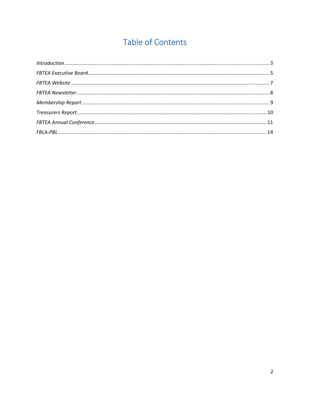# **Table of Contents**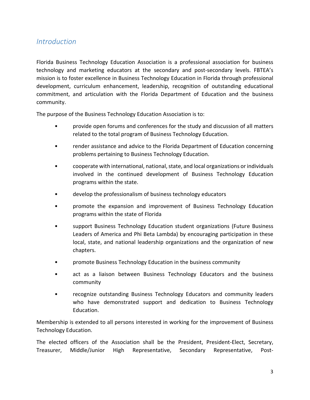# *Introduction*

Florida Business Technology Education Association is a professional association for business technology and marketing educators at the secondary and post‐secondary levels. FBTEA's mission is to foster excellence in Business Technology Education in Florida through professional development, curriculum enhancement, leadership, recognition of outstanding educational commitment, and articulation with the Florida Department of Education and the business community.

The purpose of the Business Technology Education Association is to:

- provide open forums and conferences for the study and discussion of all matters related to the total program of Business Technology Education.
- render assistance and advice to the Florida Department of Education concerning problems pertaining to Business Technology Education.
- cooperate with international, national, state, and local organizations or individuals involved in the continued development of Business Technology Education programs within the state.
- develop the professionalism of business technology educators
- promote the expansion and improvement of Business Technology Education programs within the state of Florida
- support Business Technology Education student organizations (Future Business Leaders of America and Phi Beta Lambda) by encouraging participation in these local, state, and national leadership organizations and the organization of new chapters.
- promote Business Technology Education in the business community
- act as a liaison between Business Technology Educators and the business community
- recognize outstanding Business Technology Educators and community leaders who have demonstrated support and dedication to Business Technology Education.

Membership is extended to all persons interested in working for the improvement of Business Technology Education.

The elected officers of the Association shall be the President, President‐Elect, Secretary, Treasurer, Middle/Junior High Representative, Secondary Representative, Post‐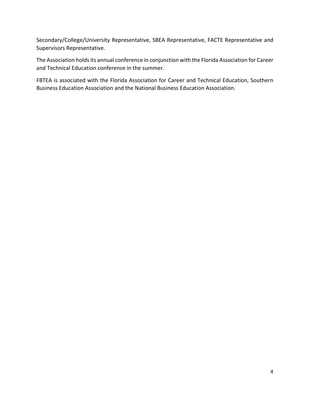Secondary/College/University Representative, SBEA Representative, FACTE Representative and Supervisors Representative.

The Association holds its annual conference in conjunction with the Florida Association for Career and Technical Education conference in the summer.

FBTEA is associated with the Florida Association for Career and Technical Education, Southern Business Education Association and the National Business Education Association.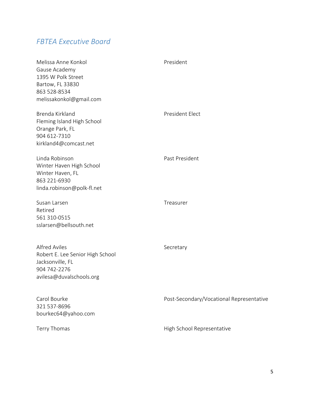# *FBTEA Executive Board*

| Melissa Anne Konkol<br>Gause Academy<br>1395 W Polk Street<br>Bartow, FL 33830<br>863 528-8534<br>melissakonkol@gmail.com | President                                |
|---------------------------------------------------------------------------------------------------------------------------|------------------------------------------|
| Brenda Kirkland<br>Fleming Island High School<br>Orange Park, FL<br>904 612-7310<br>kirkland4@comcast.net                 | President Elect                          |
| Linda Robinson<br>Winter Haven High School<br>Winter Haven, FL<br>863 221-6930<br>linda.robinson@polk-fl.net              | Past President                           |
| Susan Larsen<br>Retired<br>561 310-0515<br>sslarsen@bellsouth.net                                                         | Treasurer                                |
| <b>Alfred Aviles</b><br>Robert E. Lee Senior High School<br>Jacksonville, FL<br>904 742-2276<br>avilesa@duvalschools.org  | Secretary                                |
| Carol Bourke<br>321 537-8696<br>bourkec64@yahoo.com                                                                       | Post-Secondary/Vocational Representative |
| Terry Thomas                                                                                                              | High School Representative               |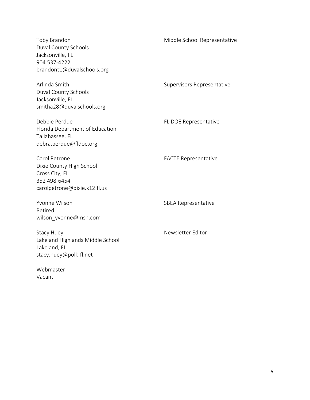| Toby Brandon<br>Duval County Schools<br>Jacksonville, FL<br>904 537-4222<br>brandont1@duvalschools.org      | Middle School Representative |
|-------------------------------------------------------------------------------------------------------------|------------------------------|
| Arlinda Smith<br>Duval County Schools<br>Jacksonville, FL<br>smitha28@duvalschools.org                      | Supervisors Representative   |
| Debbie Perdue<br>Florida Department of Education<br>Tallahassee, FL<br>debra.perdue@fldoe.org               | FL DOE Representative        |
| Carol Petrone<br>Dixie County High School<br>Cross City, FL<br>352 498-6454<br>carolpetrone@dixie.k12.fl.us | <b>FACTE Representative</b>  |
| Yvonne Wilson<br>Retired<br>wilson_yvonne@msn.com                                                           | <b>SBEA Representative</b>   |
| <b>Stacy Huey</b><br>Lakeland Highlands Middle School<br>Lakeland, FL<br>stacy.huey@polk-fl.net             | Newsletter Editor            |
| Webmaster                                                                                                   |                              |

Vacant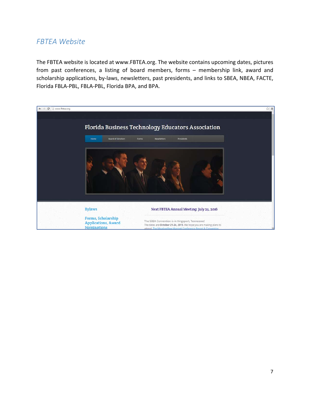# *FBTEA Website*

The FBTEA website is located at www.FBTEA.org. The website contains upcoming dates, pictures from past conferences, a listing of board members, forms – membership link, award and scholarship applications, by-laws, newsletters, past presidents, and links to SBEA, NBEA, FACTE, Florida FBLA‐PBL, FBLA‐PBL, Florida BPA, and BPA.

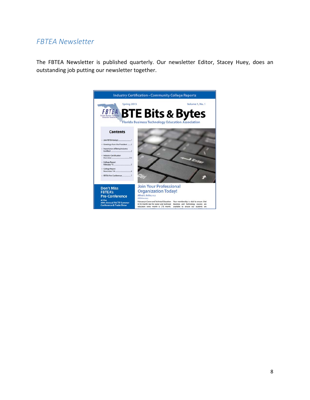# *FBTEA Newsletter*

The FBTEA Newsletter is published quarterly. Our newsletter Editor, Stacey Huey, does an outstanding job putting our newsletter together.

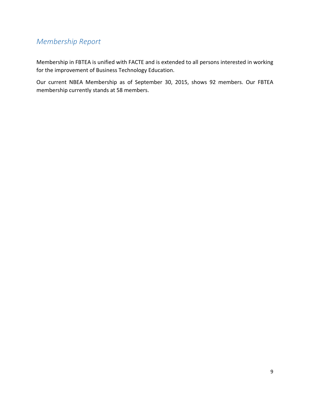# *Membership Report*

Membership in FBTEA is unified with FACTE and is extended to all persons interested in working for the improvement of Business Technology Education.

Our current NBEA Membership as of September 30, 2015, shows 92 members. Our FBTEA membership currently stands at 58 members.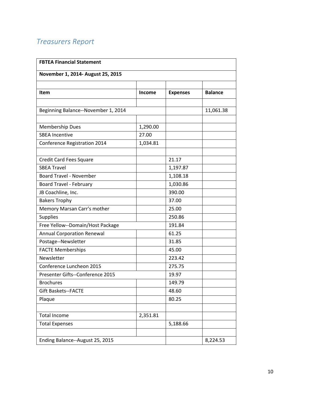# *Treasurers Report*

| <b>FBTEA Financial Statement</b>    |               |                 |                |
|-------------------------------------|---------------|-----------------|----------------|
| November 1, 2014- August 25, 2015   |               |                 |                |
|                                     |               |                 |                |
| <b>Item</b>                         | <b>Income</b> | <b>Expenses</b> | <b>Balance</b> |
| Beginning Balance--November 1, 2014 |               |                 | 11,061.38      |
|                                     |               |                 |                |
| <b>Membership Dues</b>              | 1,290.00      |                 |                |
| <b>SBEA Incentive</b>               | 27.00         |                 |                |
| Conference Registration 2014        | 1,034.81      |                 |                |
|                                     |               |                 |                |
| <b>Credit Card Fees Square</b>      |               | 21.17           |                |
| <b>SBEA Travel</b>                  |               | 1,197.87        |                |
| <b>Board Travel - November</b>      |               | 1,108.18        |                |
| Board Travel - February             |               | 1,030.86        |                |
| JB Coachline, Inc.                  |               | 390.00          |                |
| <b>Bakers Trophy</b>                |               | 37.00           |                |
| Memory Marsan Carr's mother         |               | 25.00           |                |
| <b>Supplies</b>                     |               | 250.86          |                |
| Free Yellow--Domain/Host Package    |               | 191.84          |                |
| <b>Annual Corporation Renewal</b>   |               | 61.25           |                |
| Postage--Newsletter                 |               | 31.85           |                |
| <b>FACTE Memberships</b>            |               | 45.00           |                |
| Newsletter                          |               | 223.42          |                |
| Conference Luncheon 2015            |               | 275.75          |                |
| Presenter Gifts--Conference 2015    |               | 19.97           |                |
| <b>Brochures</b>                    |               | 149.79          |                |
| <b>Gift Baskets--FACTE</b>          |               | 48.60           |                |
| Plaque                              |               | 80.25           |                |
|                                     |               |                 |                |
| <b>Total Income</b>                 | 2,351.81      |                 |                |
| <b>Total Expenses</b>               |               | 5,188.66        |                |
| Ending Balance--August 25, 2015     |               |                 | 8,224.53       |
|                                     |               |                 |                |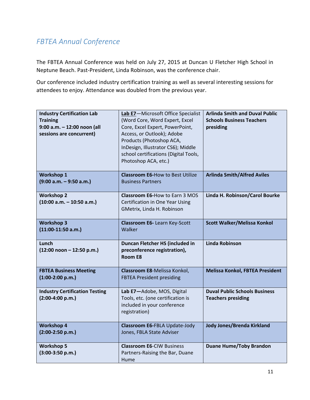# *FBTEA Annual Conference*

The FBTEA Annual Conference was held on July 27, 2015 at Duncan U Fletcher High School in Neptune Beach. Past‐President, Linda Robinson, was the conference chair.

Our conference included industry certification training as well as several interesting sessions for attendees to enjoy. Attendance was doubled from the previous year.

| <b>Industry Certification Lab</b><br><b>Training</b><br>9:00 a.m. - 12:00 noon (all<br>sessions are concurrent) | Lab E7-Microsoft Office Specialist<br>(Word Core, Word Expert, Excel<br>Core, Excel Expert, PowerPoint,<br>Access, or Outlook); Adobe<br>Products (Photoshop ACA,<br>InDesign, Illustrator CS6); Middle<br>school certifications (Digital Tools,<br>Photoshop ACA, etc.) | <b>Arlinda Smith and Duval Public</b><br><b>Schools Business Teachers</b><br>presiding |
|-----------------------------------------------------------------------------------------------------------------|--------------------------------------------------------------------------------------------------------------------------------------------------------------------------------------------------------------------------------------------------------------------------|----------------------------------------------------------------------------------------|
| <b>Workshop 1</b><br>$(9:00 a.m. - 9:50 a.m.)$                                                                  | <b>Classroom E6-How to Best Utilize</b><br><b>Business Partners</b>                                                                                                                                                                                                      | <b>Arlinda Smith/Alfred Aviles</b>                                                     |
| <b>Workshop 2</b><br>$(10:00 a.m. - 10:50 a.m.)$                                                                | <b>Classroom E6-How to Earn 3 MOS</b><br>Certification in One Year Using<br>GMetrix, Linda H. Robinson                                                                                                                                                                   | Linda H. Robinson/Carol Bourke                                                         |
| <b>Workshop 3</b><br>$(11:00-11:50 a.m.)$                                                                       | <b>Classroom E6-Learn Key-Scott</b><br>Walker                                                                                                                                                                                                                            | <b>Scott Walker/Melissa Konkol</b>                                                     |
| Lunch                                                                                                           | Duncan Fletcher HS (included in                                                                                                                                                                                                                                          | <b>Linda Robinson</b>                                                                  |
| $(12:00$ noon - 12:50 p.m.)                                                                                     | preconference registration),<br>Room E8                                                                                                                                                                                                                                  |                                                                                        |
| <b>FBTEA Business Meeting</b><br>$(1:00-2:00 p.m.)$                                                             | Classroom E8-Melissa Konkol,<br><b>FBTEA President presiding</b>                                                                                                                                                                                                         | Melissa Konkol, FBTEA President                                                        |
| <b>Industry Certification Testing</b><br>$(2:00-4:00 p.m.)$                                                     | Lab E7-Adobe, MOS, Digital<br>Tools, etc. (one certification is<br>included in your conference<br>registration)                                                                                                                                                          | <b>Duval Public Schools Business</b><br><b>Teachers presiding</b>                      |
| <b>Workshop 4</b><br>$(2:00-2:50 p.m.)$                                                                         | Classroom E6-FBLA Update-Jody<br>Jones, FBLA State Adviser                                                                                                                                                                                                               | Jody Jones/Brenda Kirkland                                                             |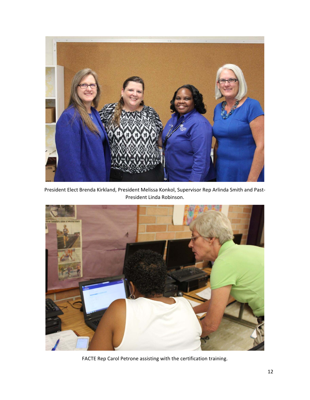

President Elect Brenda Kirkland, President Melissa Konkol, Supervisor Rep Arlinda Smith and Past‐ President Linda Robinson.



FACTE Rep Carol Petrone assisting with the certification training.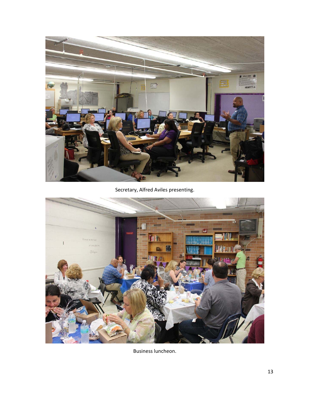

Secretary, Alfred Aviles presenting.



Business luncheon.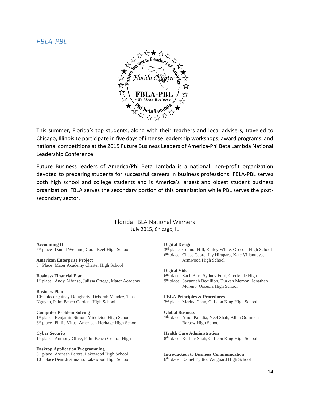# *FBLA‐PBL*



This summer, Florida's top students, along with their teachers and local advisers, traveled to Chicago, Illinois to participate in five days of intense leadership workshops, award programs, and national competitions at the 2015 Future Business Leaders of America‐Phi Beta Lambda National Leadership Conference.

Future Business leaders of America/Phi Beta Lambda is a national, non‐profit organization devoted to preparing students for successful careers in business professions. FBLA‐PBL serves both high school and college students and is America's largest and oldest student business organization. FBLA serves the secondary portion of this organization while PBL serves the post‐ secondary sector.

# Florida FBLA National Winners July 2015, Chicago, IL

# **Accounting II**

5th place Daniel Weiland, Coral Reef High School

# **American Enterprise Project**

5<sup>th</sup> Place Mater Academy Charter High School

# **Business Financial Plan**

1<sup>st</sup> place Andy Alfonso, Julissa Ortega, Mater Academy

# **Business Plan**

10<sup>th</sup> place Quincy Dougherty, Deborah Mendez, Tina Nguyen, Palm Beach Gardens High School

# **Computer Problem Solving**

1<sup>st</sup> place Benjamin Simon, Middleton High School 6th place Philip Vitus, American Heritage High School

# **Cyber Security**

1<sup>st</sup> place Anthony Olive, Palm Beach Central High

# **Desktop Application Programming**

3rd place Avinash Perera, Lakewood High School 10th place Dean Justiniano, Lakewood High School

#### **Digital Design**

- 3<sup>rd</sup> place Connor Hill, Kailey White, Osceola High School
- 6th place Chase Cabre, Jay Hirapara, Kate Villanueva, Armwood High School

# **Digital Video**

- 6<sup>th</sup> place Zach Bias, Sydney Ford, Creekside High
- 9th place Savannah Bedillion, Durkan Memon, Jonathan Moreno, Osceola High School

## **FBLA Principles & Procedures**

3<sup>rd</sup> place Marina Chan, C. Leon King High School

#### **Global Business**

7th place Amol Patadia, Neel Shah, Allen Oommen Bartow High School

# **Health Care Administration**

8<sup>th</sup> place Keshav Shah, C. Leon King High School

# **Introduction to Business Communication**

6th place Daniel Egitto, Vanguard High School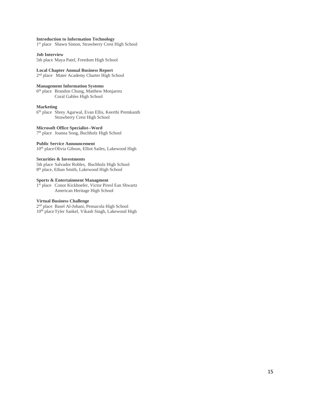# **Introduction to Information Technology**

1<sup>st</sup> place Shawn Simon, Strawberry Crest High School

#### **Job Interview**

5th place Maya Patel, Freedom High School

# **Local Chapter Annual Business Report**

2nd placeMater Academy Charter High School

# **Management Information Systems**

6th place Brandon Chung, Matthew Monjarrez Coral Gables High School

# **Marketing**

6th place Shrey Agarwal, Evan Ellis, Keerthi Premkanth Strawberry Crest High School

# **Microsoft Office Specialist--Word**

7th place Joanna Song, Buchholz High School

#### **Public Service Announcement**

10th place Olivia Gibson, Elliot Sailes, Lakewood High

# **Securities & Investments**

5th place Salvador Robles, Buchholz High School 8th place, Ethan Smith, Lakewood High School

# **Sports & Entertainment Managment**

1<sup>st</sup> place Conor Kickhoefer, Victor Piresl Ean Shwartz American Heritage High School

# **Virtual Business Challenge**

2nd place Basel Al-Johani, Pensacola High School 10<sup>th</sup> place Tyler Sankel, Vikash Singh, Lakewood High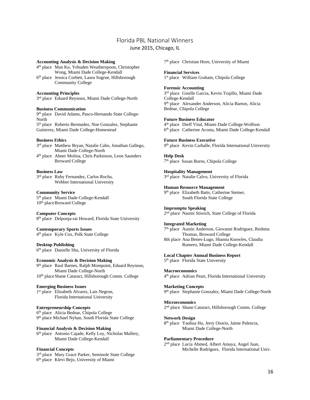# Florida PBL National Winners June 2015, Chicago, IL

# **Accounting Analysis & Decision Making**

- 4th place Man Ko, Yehuden Weatherspoon, Christopher Wong, Miami Dade College-Kendall 6th place Jessica Corbett, Laura Sugrue, Hillsborough Community College
- **Accounting Principles**

3rd place Eduard Reynoso, Miami Dade College-North

## **Business Communication**

9th place David Adams, Pasco-Hernando State College-North 5<sup>th</sup> place Roberto Bermudez, Noe Gonzalez, Stephanie

Gutierrez, Miami Dade College-Homestead

# **Business Ethics**

- 3rd place Matthew Bryan, Natalie Cabo, Jonathan Gallego, Miami Dade College-North
- 4th place Abner Molina, Chris Parkinson, Leon Saunders Broward College

# **Business Law**

3rd place Ruby Fernandez, Carlos Rocha, Webber International University

# **Community Service**

5th place Miami Dade College-Kendall 10<sup>th</sup> place Broward College

# **Computer Concepts**

8<sup>th</sup> place Delponja-rai Howard, Florida State University

# **Contemporary Sports Issues**

4th place Kyle Cox, Polk State College

# **Desktop Publishing**

6th place Danielle Shu, University of Florida

# **Economic Analysis & Decision Making**

9<sup>th</sup> place Raul Barnes, Ralph Mompoint, Eduard Reynoso, Miami Dade College-North 10th place Shane Cataract, Hillsborough Comm. College

## **Emerging Business Issues**

1<sup>st</sup> place Elizabeth Alvarez, Lais Negron, Florida International University

# **Entrepreneurship Concepts**

6th place Alicia Bednar, Chipola College 9th place Michael Nyhan, South Florida State College

# **Financial Analysis & Decision Making**

6<sup>th</sup> place Antonio Cajade, Kelly Loy, Nicholas Mallery, Miami Dade College-Kendall

# **Financial Concepts**

3rd place Mary Grace Parker, Seminole State College 6th place Klevi Bejo, University of Miami

7<sup>th</sup> place Christian Horn, University of Miami

## **Financial Services**

1st place William Graham, Chipola College

# **Forensic Accounting**

3rd place Giselle Garcia, Kevin Trujillo, Miami Dade College-Kendall 9<sup>th</sup> place Alexander Anderson, Alicia Barton, Alicia Bednar, Chipola College

# **Future Business Educator**

4th place Dieff Vital, Miami Dade College-Wolfson 6th place Catherine Acosta, Miami Dade College-Kendall

# **Future Business Executive**

9<sup>th</sup> place Kevin Carballe, Florida International University

## **Help Desk**

7th place Susan Burns, Chipola College

# **Hospitality Management**

3rd place Natalie Calvo, University of Florida

## **Human Resource Management**

9<sup>th</sup> place Elizabeth Batts, Catherine Steiner, South Florida State College

# **Impromptu Speaking**

2<sup>nd</sup> place Naomi Stiwich, State College of Florida

# **Integrated Marketing**

7th place Austin Anderson, Giovanni Rodriguez, Reshma Thomas, Broward College 8th place Ana Benes-Lugo, Shanna Knowles, Claudia Romero, Miami Dade College-Kendall

# **Local Chapter Annual Business Report**

5<sup>th</sup> place Florida State University

## **Macroeconomics**

4th place Adrian Peart, Florida International University

# **Marketing Concepts**

9<sup>th</sup> place Stephanie Gonzalez, Miami Dade College-North

# **Microeconomics**

2nd place Shane Cataract, Hillsborough Comm. College

# **Network Design**

8th place Yaohua Hu, Jerry Osorio, Jaime Palencia, Miami Dade College-North

## **Parliamentary Procedure**

2nd place Lucia Ahmed, Albert Amaya, Angel Juan, Michelle Rodriguez, Florida International Univ.